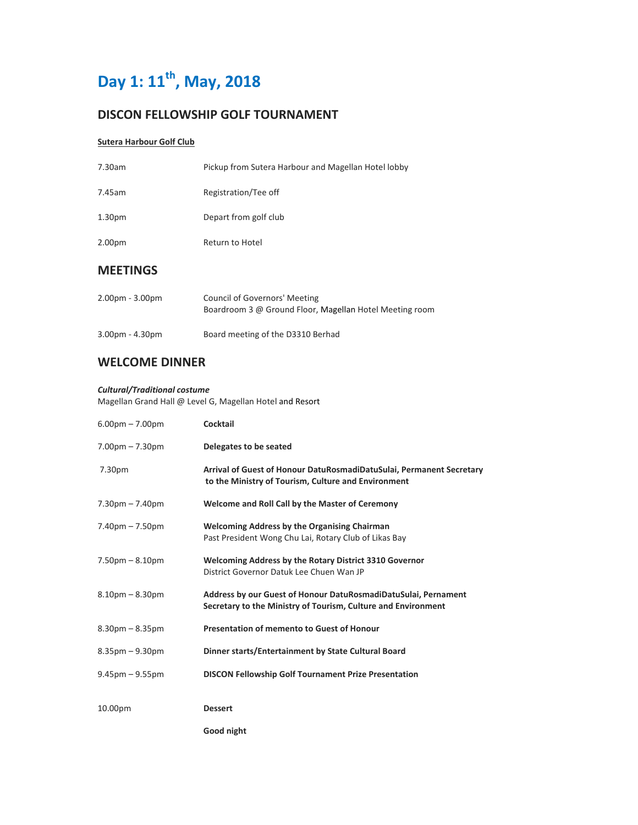# Day 1: 11<sup>th</sup>, May, 2018

## **DISCON FELLOWSHIP GOLF TOURNAMENT**

## **Sutera Harbour Golf Club**

| <b>MEFTINGS</b>    |                                                     |
|--------------------|-----------------------------------------------------|
| 2.00 <sub>pm</sub> | Return to Hotel                                     |
| 1.30 <sub>pm</sub> | Depart from golf club                               |
| 7.45am             | Registration/Tee off                                |
| 7.30am             | Pickup from Sutera Harbour and Magellan Hotel lobby |

## **MEETINGS**

| $2.00pm - 3.00pm$ | Council of Governors' Meeting                           |
|-------------------|---------------------------------------------------------|
|                   | Boardroom 3 @ Ground Floor, Magellan Hotel Meeting room |
|                   |                                                         |

## **WELCOME DINNER**

### *Cultural/Traditional costume*

Magellan Grand Hall @ Level G, Magellan Hotel and Resort

3.00pm - 4.30pm Board meeting of the D3310 Berhad

| $6.00pm - 7.00pm$     | <b>Cocktail</b>                                                                                                                 |
|-----------------------|---------------------------------------------------------------------------------------------------------------------------------|
| $7.00pm - 7.30pm$     | Delegates to be seated                                                                                                          |
| 7.30pm                | Arrival of Guest of Honour DatuRosmadiDatuSulai, Permanent Secretary<br>to the Ministry of Tourism, Culture and Environment     |
| $7.30pm - 7.40pm$     | Welcome and Roll Call by the Master of Ceremony                                                                                 |
| $7.40pm - 7.50pm$     | <b>Welcoming Address by the Organising Chairman</b><br>Past President Wong Chu Lai, Rotary Club of Likas Bay                    |
| $7.50pm - 8.10pm$     | Welcoming Address by the Rotary District 3310 Governor<br>District Governor Datuk Lee Chuen Wan JP                              |
| $8.10pm - 8.30pm$     | Address by our Guest of Honour DatuRosmadiDatuSulai, Pernament<br>Secretary to the Ministry of Tourism, Culture and Environment |
| $8.30$ pm $- 8.35$ pm | <b>Presentation of memento to Guest of Honour</b>                                                                               |
| $8.35$ pm $-9.30$ pm  | Dinner starts/Entertainment by State Cultural Board                                                                             |
| $9.45$ pm $-9.55$ pm  | <b>DISCON Fellowship Golf Tournament Prize Presentation</b>                                                                     |
| 10.00pm               | <b>Dessert</b>                                                                                                                  |
|                       | Good night                                                                                                                      |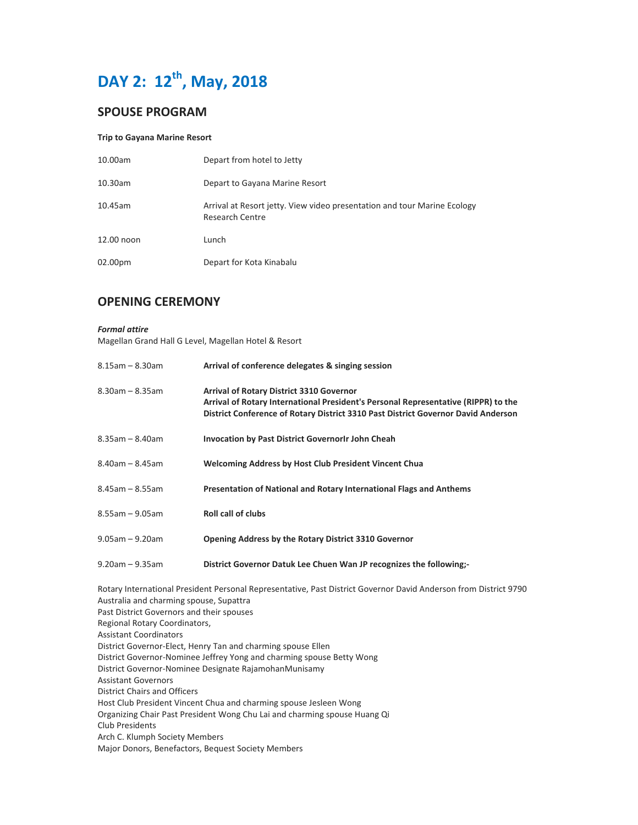

## **SPOUSE PROGRAM**

#### **Trip to Gayana Marine Resort**

| 10.00am    | Depart from hotel to Jetty                                                                  |
|------------|---------------------------------------------------------------------------------------------|
| 10.30am    | Depart to Gayana Marine Resort                                                              |
| 10.45am    | Arrival at Resort jetty. View video presentation and tour Marine Ecology<br>Research Centre |
| 12.00 noon | Lunch                                                                                       |
| 02.00pm    | Depart for Kota Kinabalu                                                                    |

## **OPENING CEREMONY**

#### *Formal attire*

Magellan Grand Hall G Level, Magellan Hotel & Resort

| $8.15$ am – $8.30$ am | Arrival of conference delegates & singing session                                                                                                                                                                          |
|-----------------------|----------------------------------------------------------------------------------------------------------------------------------------------------------------------------------------------------------------------------|
| $8.30$ am – $8.35$ am | <b>Arrival of Rotary District 3310 Governor</b><br>Arrival of Rotary International President's Personal Representative (RIPPR) to the<br>District Conference of Rotary District 3310 Past District Governor David Anderson |
| $8.35$ am – $8.40$ am | <b>Invocation by Past District GovernorIr John Cheah</b>                                                                                                                                                                   |
| $8.40$ am - $8.45$ am | <b>Welcoming Address by Host Club President Vincent Chua</b>                                                                                                                                                               |
| $8.45$ am – $8.55$ am | Presentation of National and Rotary International Flags and Anthems                                                                                                                                                        |
| $8.55$ am – 9.05am    | <b>Roll call of clubs</b>                                                                                                                                                                                                  |
| $9.05$ am - $9.20$ am | Opening Address by the Rotary District 3310 Governor                                                                                                                                                                       |
| $9.20$ am – $9.35$ am | District Governor Datuk Lee Chuen Wan JP recognizes the following;-                                                                                                                                                        |

Rotary International President Personal Representative, Past District Governor David Anderson from District 9790 Australia and charming spouse, Supattra Past District Governors and their spouses Regional Rotary Coordinators, Assistant Coordinators District Governor-Elect, Henry Tan and charming spouse Ellen District Governor-Nominee Jeffrey Yong and charming spouse Betty Wong District Governor-Nominee Designate RajamohanMunisamy Assistant Governors District Chairs and Officers Host Club President Vincent Chua and charming spouse Jesleen Wong Organizing Chair Past President Wong Chu Lai and charming spouse Huang Qi Club Presidents Arch C. Klumph Society Members Major Donors, Benefactors, Bequest Society Members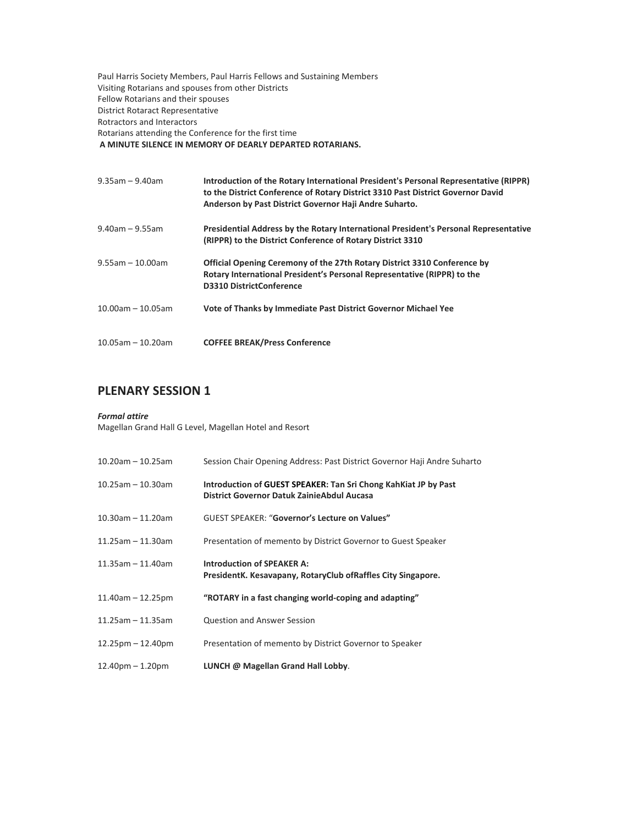Paul Harris Society Members, Paul Harris Fellows and Sustaining Members Visiting Rotarians and spouses from other Districts Fellow Rotarians and their spouses District Rotaract Representative Rotractors and Interactors Rotarians attending the Conference for the first time  **A MINUTE SILENCE IN MEMORY OF DEARLY DEPARTED ROTARIANS.** 

| $9.35$ am - $9.40$ am | Introduction of the Rotary International President's Personal Representative (RIPPR)<br>to the District Conference of Rotary District 3310 Past District Governor David<br>Anderson by Past District Governor Haji Andre Suharto. |
|-----------------------|-----------------------------------------------------------------------------------------------------------------------------------------------------------------------------------------------------------------------------------|
| $9.40$ am – $9.55$ am | Presidential Address by the Rotary International President's Personal Representative<br>(RIPPR) to the District Conference of Rotary District 3310                                                                                |
| $9.55$ am - 10.00am   | <b>Official Opening Ceremony of the 27th Rotary District 3310 Conference by</b><br>Rotary International President's Personal Representative (RIPPR) to the<br><b>D3310 DistrictConference</b>                                     |
| $10.00$ am - 10.05am  | Vote of Thanks by Immediate Past District Governor Michael Yee                                                                                                                                                                    |
| $10.05$ am - 10.20am  | <b>COFFEE BREAK/Press Conference</b>                                                                                                                                                                                              |

# **PLENARY SESSION 1**

#### *Formal attire*

Magellan Grand Hall G Level, Magellan Hotel and Resort

| $10.20$ am - 10.25am    | Session Chair Opening Address: Past District Governor Haji Andre Suharto                                       |
|-------------------------|----------------------------------------------------------------------------------------------------------------|
| $10.25$ am - 10.30am    | Introduction of GUEST SPEAKER: Tan Sri Chong KahKiat JP by Past<br>District Governor Datuk Zainie Abdul Aucasa |
| $10.30$ am - 11.20am    | <b>GUEST SPEAKER: "Governor's Lecture on Values"</b>                                                           |
| $11.25$ am - 11.30am    | Presentation of memento by District Governor to Guest Speaker                                                  |
| $11.35$ am - 11.40am    | <b>Introduction of SPEAKER A:</b><br>PresidentK. Kesavapany, RotaryClub ofRaffles City Singapore.              |
| $11.40$ am $- 12.25$ pm | "ROTARY in a fast changing world-coping and adapting"                                                          |
| $11.25$ am - 11.35am    | Question and Answer Session                                                                                    |
| $12.25$ pm $-12.40$ pm  | Presentation of memento by District Governor to Speaker                                                        |
| $12.40$ pm $- 1.20$ pm  | LUNCH @ Magellan Grand Hall Lobby.                                                                             |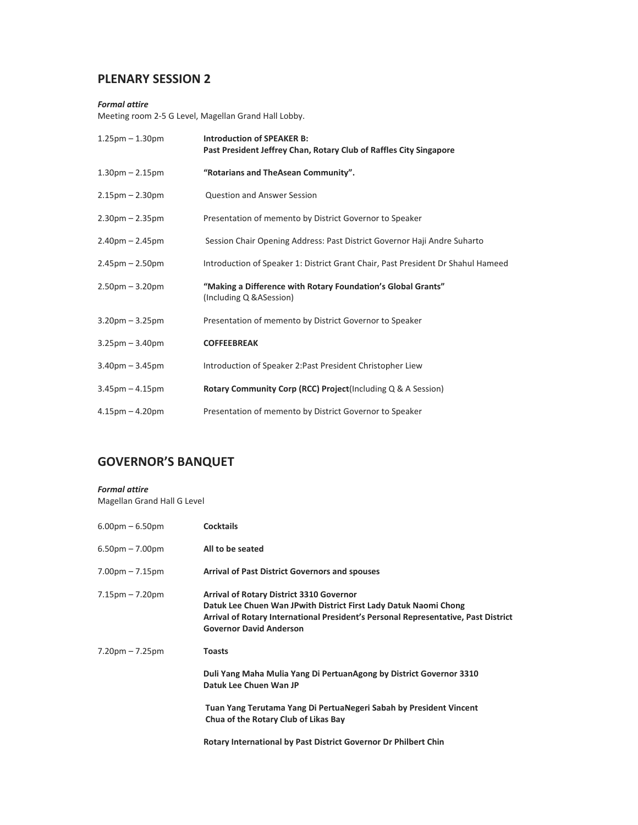# **PLENARY SESSION 2**

### *Formal attire*

Meeting room 2-5 G Level, Magellan Grand Hall Lobby.

| $1.25$ pm $- 1.30$ pm | <b>Introduction of SPEAKER B:</b><br>Past President Jeffrey Chan, Rotary Club of Raffles City Singapore |
|-----------------------|---------------------------------------------------------------------------------------------------------|
| $1.30pm - 2.15pm$     | "Rotarians and TheAsean Community".                                                                     |
| $2.15$ pm $- 2.30$ pm | <b>Question and Answer Session</b>                                                                      |
| $2.30pm - 2.35pm$     | Presentation of memento by District Governor to Speaker                                                 |
| $2.40pm - 2.45pm$     | Session Chair Opening Address: Past District Governor Haji Andre Suharto                                |
| $2.45$ pm $- 2.50$ pm | Introduction of Speaker 1: District Grant Chair, Past President Dr Shahul Hameed                        |
| $2.50pm - 3.20pm$     | "Making a Difference with Rotary Foundation's Global Grants"<br>(Including Q & A Session)               |
| $3.20$ pm $-3.25$ pm  | Presentation of memento by District Governor to Speaker                                                 |
| $3.25$ pm $-3.40$ pm  | <b>COFFEEBREAK</b>                                                                                      |
| $3.40$ pm $- 3.45$ pm | Introduction of Speaker 2: Past President Christopher Liew                                              |
| $3.45$ pm $- 4.15$ pm | Rotary Community Corp (RCC) Project(Including Q & A Session)                                            |
| $4.15$ pm $- 4.20$ pm | Presentation of memento by District Governor to Speaker                                                 |

# **GOVERNOR'S BANQUET**

#### *Formal attire*

Magellan Grand Hall G Level

| $6.00pm - 6.50pm$     | <b>Cocktails</b>                                                                                                                                                                                                                            |
|-----------------------|---------------------------------------------------------------------------------------------------------------------------------------------------------------------------------------------------------------------------------------------|
| $6.50$ pm $- 7.00$ pm | All to be seated                                                                                                                                                                                                                            |
| $7.00pm - 7.15pm$     | <b>Arrival of Past District Governors and spouses</b>                                                                                                                                                                                       |
| $7.15$ pm $-7.20$ pm  | <b>Arrival of Rotary District 3310 Governor</b><br>Datuk Lee Chuen Wan JPwith District First Lady Datuk Naomi Chong<br>Arrival of Rotary International President's Personal Representative, Past District<br><b>Governor David Anderson</b> |
| $7.20$ pm $-7.25$ pm  | <b>Toasts</b><br>Duli Yang Maha Mulia Yang Di PertuanAgong by District Governor 3310<br>Datuk Lee Chuen Wan JP<br>Tuan Yang Terutama Yang Di PertuaNegeri Sabah by President Vincent<br>Chua of the Rotary Club of Likas Bay                |
|                       | Rotary International by Past District Governor Dr Philbert Chin                                                                                                                                                                             |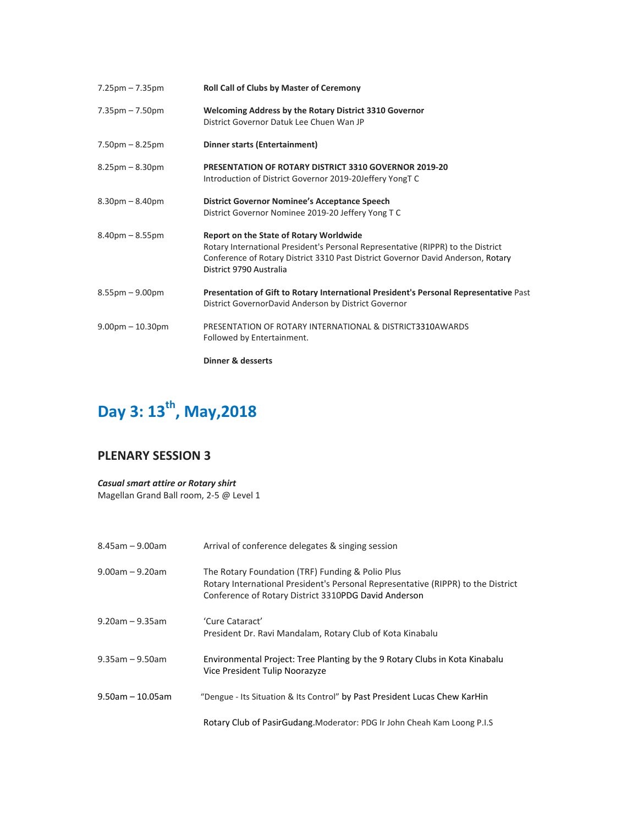| $7.25 \text{pm} - 7.35 \text{pm}$ | <b>Roll Call of Clubs by Master of Ceremony</b>                                                                                                                                                                                                   |
|-----------------------------------|---------------------------------------------------------------------------------------------------------------------------------------------------------------------------------------------------------------------------------------------------|
| $7.35 \text{pm} - 7.50 \text{pm}$ | <b>Welcoming Address by the Rotary District 3310 Governor</b><br>District Governor Datuk Lee Chuen Wan JP                                                                                                                                         |
| $7.50pm - 8.25pm$                 | Dinner starts (Entertainment)                                                                                                                                                                                                                     |
| $8.25$ pm – $8.30$ pm             | <b>PRESENTATION OF ROTARY DISTRICT 3310 GOVERNOR 2019-20</b><br>Introduction of District Governor 2019-20Jeffery YongTC                                                                                                                           |
| $8.30pm - 8.40pm$                 | <b>District Governor Nominee's Acceptance Speech</b><br>District Governor Nominee 2019-20 Jeffery Yong T C                                                                                                                                        |
| $8.40$ pm $- 8.55$ pm             | <b>Report on the State of Rotary Worldwide</b><br>Rotary International President's Personal Representative (RIPPR) to the District<br>Conference of Rotary District 3310 Past District Governor David Anderson, Rotary<br>District 9790 Australia |
| $8.55$ pm $-9.00$ pm              | Presentation of Gift to Rotary International President's Personal Representative Past<br>District GovernorDavid Anderson by District Governor                                                                                                     |
| $9.00$ pm $-10.30$ pm             | PRESENTATION OF ROTARY INTERNATIONAL & DISTRICT3310AWARDS<br>Followed by Entertainment.                                                                                                                                                           |
|                                   | Dinner & desserts                                                                                                                                                                                                                                 |

# Day 3: 13<sup>th</sup>, May, 2018

# **PLENARY SESSION 3**

*Casual smart attire or Rotary shirt*  Magellan Grand Ball room, 2-5 @ Level 1

| $8.45$ am - 9.00am    | Arrival of conference delegates & singing session                                                                                                                                            |
|-----------------------|----------------------------------------------------------------------------------------------------------------------------------------------------------------------------------------------|
| $9.00$ am – $9.20$ am | The Rotary Foundation (TRF) Funding & Polio Plus<br>Rotary International President's Personal Representative (RIPPR) to the District<br>Conference of Rotary District 3310PDG David Anderson |
| $9.20$ am – $9.35$ am | 'Cure Cataract'<br>President Dr. Ravi Mandalam, Rotary Club of Kota Kinabalu                                                                                                                 |
| $9.35$ am - $9.50$ am | Environmental Project: Tree Planting by the 9 Rotary Clubs in Kota Kinabalu<br>Vice President Tulip Noorazyze                                                                                |
| $9.50$ am - 10.05am   | "Dengue - Its Situation & Its Control" by Past President Lucas Chew KarHin                                                                                                                   |
|                       | Rotary Club of PasirGudang. Moderator: PDG Ir John Cheah Kam Loong P.I.S                                                                                                                     |